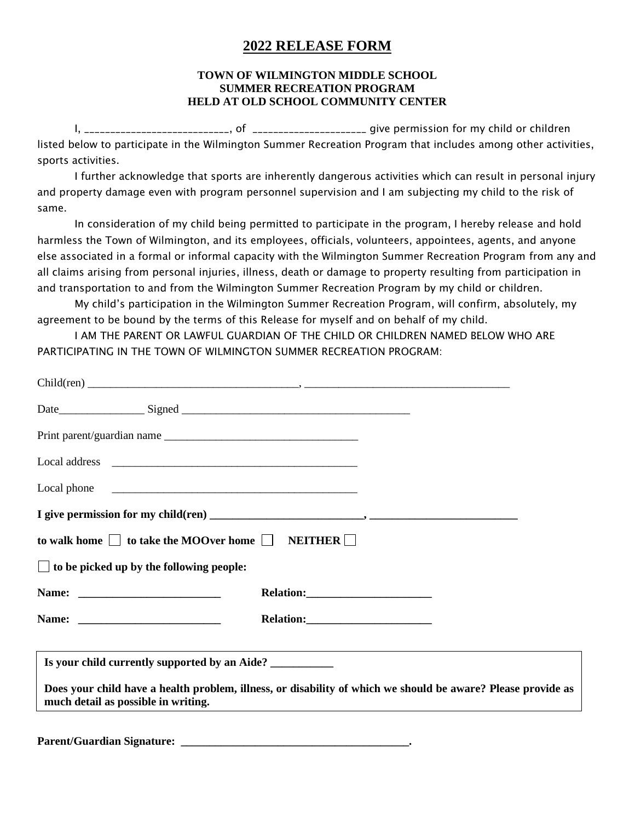# **2022 RELEASE FORM**

### **TOWN OF WILMINGTON MIDDLE SCHOOL SUMMER RECREATION PROGRAM HELD AT OLD SCHOOL COMMUNITY CENTER**

I, \_\_\_\_\_\_\_\_\_\_\_\_\_\_\_\_\_\_\_\_\_\_\_\_\_\_\_\_, of \_\_\_\_\_\_\_\_\_\_\_\_\_\_\_\_\_\_\_\_\_\_ give permission for my child or children listed below to participate in the Wilmington Summer Recreation Program that includes among other activities, sports activities.

I further acknowledge that sports are inherently dangerous activities which can result in personal injury and property damage even with program personnel supervision and I am subjecting my child to the risk of same.

In consideration of my child being permitted to participate in the program, I hereby release and hold harmless the Town of Wilmington, and its employees, officials, volunteers, appointees, agents, and anyone else associated in a formal or informal capacity with the Wilmington Summer Recreation Program from any and all claims arising from personal injuries, illness, death or damage to property resulting from participation in and transportation to and from the Wilmington Summer Recreation Program by my child or children.

My child's participation in the Wilmington Summer Recreation Program, will confirm, absolutely, my agreement to be bound by the terms of this Release for myself and on behalf of my child.

I AM THE PARENT OR LAWFUL GUARDIAN OF THE CHILD OR CHILDREN NAMED BELOW WHO ARE PARTICIPATING IN THE TOWN OF WILMINGTON SUMMER RECREATION PROGRAM:

|                                                 | to walk home $\Box$ to take the MOOver home $\Box$ NEITHER $\Box$                                            |
|-------------------------------------------------|--------------------------------------------------------------------------------------------------------------|
| $\Box$ to be picked up by the following people: |                                                                                                              |
|                                                 |                                                                                                              |
|                                                 |                                                                                                              |
|                                                 | Is your child currently supported by an Aide? ___________________________________                            |
| much detail as possible in writing.             | Does your child have a health problem, illness, or disability of which we should be aware? Please provide as |
|                                                 |                                                                                                              |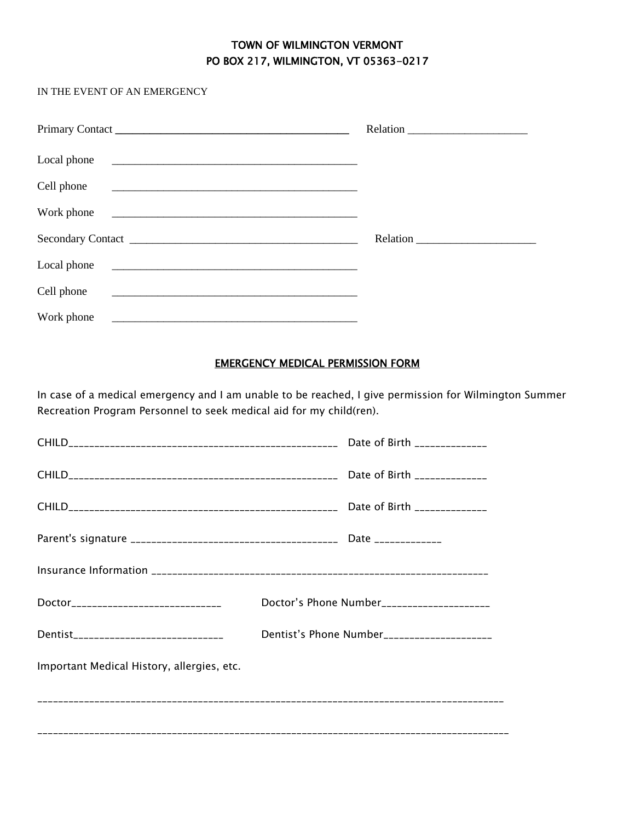## TOWN OF WILMINGTON VERMONT PO BOX 217, WILMINGTON, VT 05363-0217

### IN THE EVENT OF AN EMERGENCY

| Local phone                                                                                                                           |  |
|---------------------------------------------------------------------------------------------------------------------------------------|--|
| Cell phone                                                                                                                            |  |
| Work phone                                                                                                                            |  |
|                                                                                                                                       |  |
| Local phone<br><u> 1989 - Johann Stoff, deutscher Stoffen und der Stoffen und der Stoffen und der Stoffen und der Stoffen und der</u> |  |
| Cell phone<br><u> 1980 - Jan Berlinger, september 1980 - Jan Berlinger, september 1980 - Jan Berlinger, september 1980 - Jan Be</u>   |  |
| Work phone<br><u> 1980 - Jan Samuel Barbara, mendebat dan berasal berasal dalam pada tahun 1980 - Perangai dan berasal dalam b</u>    |  |

### EMERGENCY MEDICAL PERMISSION FORM

In case of a medical emergency and I am unable to be reached, I give permission for Wilmington Summer Recreation Program Personnel to seek medical aid for my child(ren).

| Doctor_____________________________        | Doctor's Phone Number_____________________ |                                             |  |  |
|--------------------------------------------|--------------------------------------------|---------------------------------------------|--|--|
| Dentist______________________________      |                                            | Dentist's Phone Number_____________________ |  |  |
| Important Medical History, allergies, etc. |                                            |                                             |  |  |
|                                            |                                            |                                             |  |  |
|                                            |                                            |                                             |  |  |
|                                            |                                            |                                             |  |  |